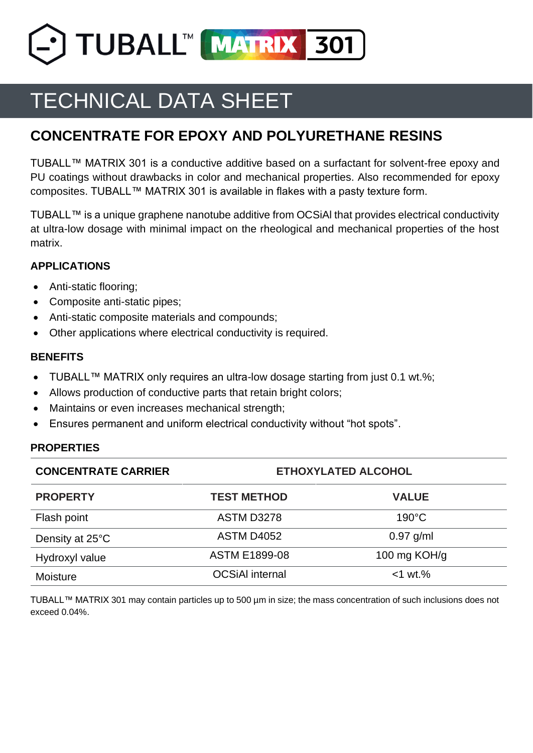TUBALL™ MATRIX 301

# TECHNICAL DATA SHEET

# **CONCENTRATE FOR EPOXY AND POLYURETHANE RESINS**

TUBALL™ MATRIX 301 is a conductive additive based on a surfactant for solvent-free epoxy and PU coatings without drawbacks in color and mechanical properties. Also recommended for epoxy composites. TUBALL™ MATRIX 301 is available in flakes with a pasty texture form.

TUBALL™ is a unique graphene nanotube additive from OCSiAl that provides electrical conductivity at ultra-low dosage with minimal impact on the rheological and mechanical properties of the host matrix.

# **APPLICATIONS**

- Anti-static flooring;
- Composite anti-static pipes;
- Anti-static composite materials and compounds;
- Other applications where electrical conductivity is required.

# **BENEFITS**

- TUBALL™ MATRIX only requires an ultra-low dosage starting from just 0.1 wt.%;
- Allows production of conductive parts that retain bright colors;
- Maintains or even increases mechanical strength;
- Ensures permanent and uniform electrical conductivity without "hot spots".

# **PROPERTIES**

| <b>CONCENTRATE CARRIER</b> | <b>ETHOXYLATED ALCOHOL</b> |                 |  |
|----------------------------|----------------------------|-----------------|--|
| <b>PROPERTY</b>            | <b>TEST METHOD</b>         | <b>VALUE</b>    |  |
| Flash point                | <b>ASTM D3278</b>          | $190^{\circ}$ C |  |
| Density at 25°C            | <b>ASTM D4052</b>          | $0.97$ g/ml     |  |
| Hydroxyl value             | <b>ASTM E1899-08</b>       | 100 mg $KOH/g$  |  |
| Moisture                   | <b>OCSiAI</b> internal     | $<$ 1 wt. $%$   |  |

TUBALL™ MATRIX 301 may contain particles up to 500 µm in size; the mass concentration of such inclusions does not exceed 0.04%.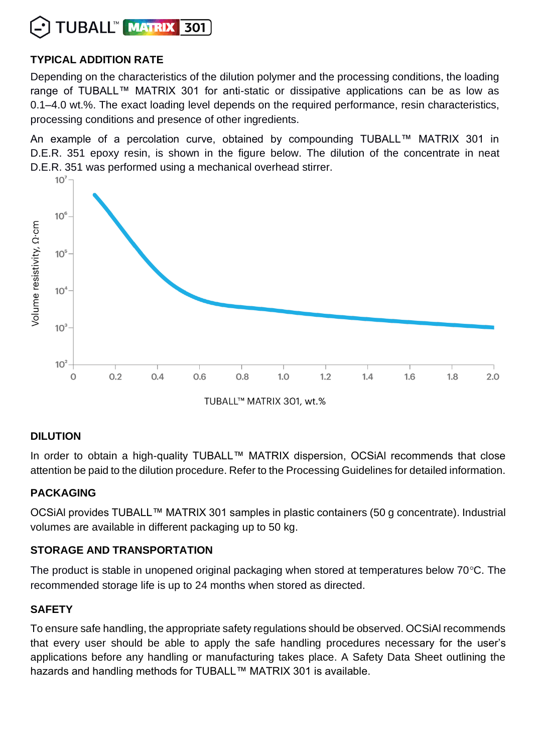

# **TYPICAL ADDITION RATE**

Depending on the characteristics of the dilution polymer and the processing conditions, the loading range of TUBALL™ MATRIX 301 for anti-static or dissipative applications can be as low as 0.1–4.0 wt.%. The exact loading level depends on the required performance, resin characteristics, processing conditions and presence of other ingredients.

An example of a percolation curve, obtained by compounding TUBALL™ MATRIX 301 in D.E.R. 351 epoxy resin, is shown in the figure below. The dilution of the concentrate in neat D.E.R. 351 was performed using a mechanical overhead stirrer.



#### **DILUTION**

In order to obtain a high-quality TUBALL™ MATRIX dispersion, OCSiAl recommends that close attention be paid to the dilution procedure. Refer to the Processing Guidelines for detailed information.

#### **PACKAGING**

OCSiAl provides TUBALL™ MATRIX 301 samples in plastic containers (50 g concentrate). Industrial volumes are available in different packaging up to 50 kg.

# **STORAGE AND TRANSPORTATION**

The product is stable in unopened original packaging when stored at temperatures below  $70^{\circ}$ C. The recommended storage life is up to 24 months when stored as directed.

#### **SAFETY**

To ensure safe handling, the appropriate safety regulations should be observed. OCSiAl recommends that every user should be able to apply the safe handling procedures necessary for the user's applications before any handling or manufacturing takes place. A Safety Data Sheet outlining the hazards and handling methods for TUBALL™ MATRIX 301 is available.